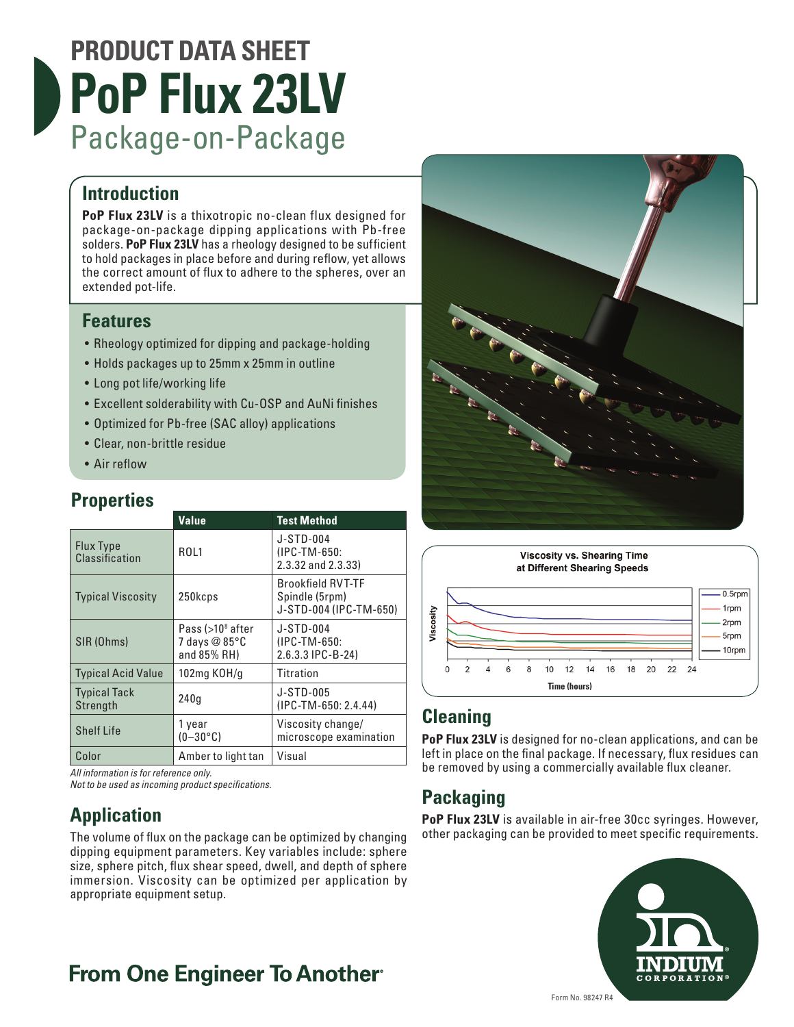# **PRODUCT DATA SHEET PoP Flux 23LV** Package-on-Package

#### **Introduction**

**PoP Flux 23LV** is a thixotropic no-clean flux designed for package-on-package dipping applications with Pb-free solders. **PoP Flux 23LV** has a rheology designed to be sufficient to hold packages in place before and during reflow, yet allows the correct amount of flux to adhere to the spheres, over an extended pot-life.

#### **Features**

- Rheology optimized for dipping and package-holding
- Holds packages up to 25mm x 25mm in outline
- Long pot life/working life
- Excellent solderability with Cu-OSP and AuNi finishes
- Optimized for Pb-free (SAC alloy) applications
- Clear, non-brittle residue
- Air reflow

#### **Properties**

| 1 1 9 9 9 1 1 1 9 9                |                                                              |                                                                      |
|------------------------------------|--------------------------------------------------------------|----------------------------------------------------------------------|
|                                    | <b>Value</b>                                                 | <b>Test Method</b>                                                   |
| <b>Flux Type</b><br>Classification | ROL1                                                         | J-STD-004<br>(IPC-TM-650:<br>2.3.32 and 2.3.33)                      |
| <b>Typical Viscosity</b>           | 250kcps                                                      | <b>Brookfield RVT-TF</b><br>Spindle (5rpm)<br>J-STD-004 (IPC-TM-650) |
| SIR (Ohms)                         | Pass (>10 <sup>8</sup> after<br>7 days @ 85°C<br>and 85% RH) | J-STD-004<br>(IPC-TM-650:<br>2.6.3.3 IPC-B-24)                       |
| <b>Typical Acid Value</b>          | 102mg KOH/g                                                  | Titration                                                            |
| <b>Typical Tack</b><br>Strength    | 240a                                                         | J-STD-005<br>$(IPC-TM-650: 2.4.44)$                                  |
| <b>Shelf Life</b>                  | 1 year<br>$(0-30\degree C)$                                  | Viscosity change/<br>microscope examination                          |
| Color                              | Amber to light tan                                           | Visual                                                               |

*All information is for reference only.*

*Not to be used as incoming product specifications.*

## **Application**

The volume of flux on the package can be optimized by changing dipping equipment parameters. Key variables include: sphere size, sphere pitch, flux shear speed, dwell, and depth of sphere immersion. Viscosity can be optimized per application by appropriate equipment setup.



### **Cleaning**

**PoP Flux 23LV** is designed for no-clean applications, and can be left in place on the final package. If necessary, flux residues can be removed by using a commercially available flux cleaner.

## **Packaging**

**PoP Flux 23LV** is available in air-free 30cc syringes. However, other packaging can be provided to meet specific requirements.



## **From One Engineer To Another**